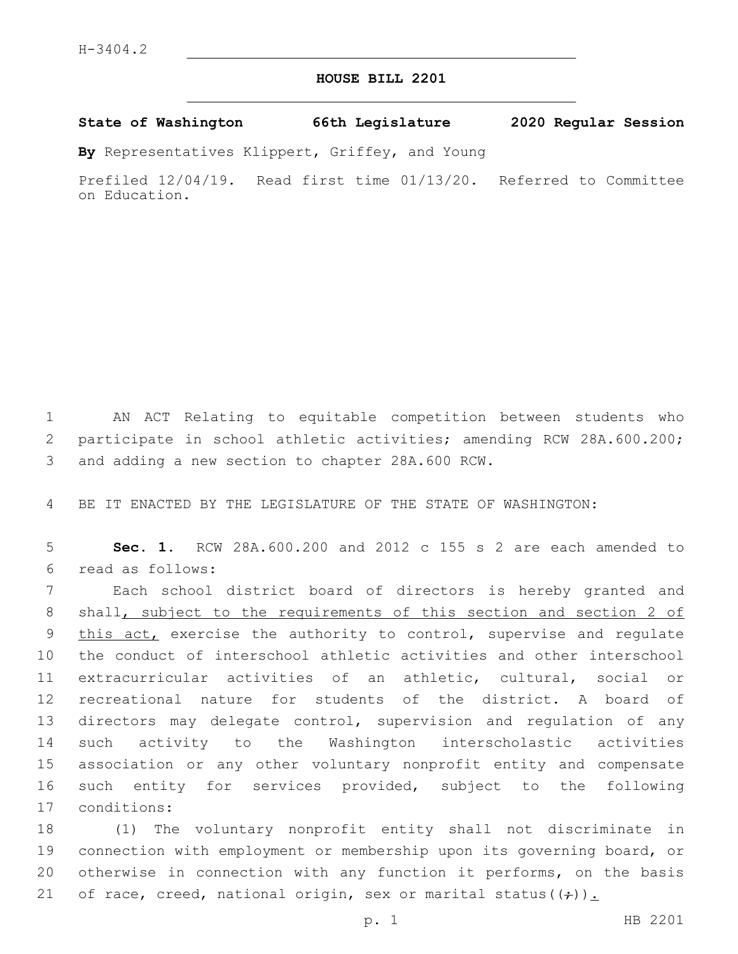## **HOUSE BILL 2201**

**State of Washington 66th Legislature 2020 Regular Session**

**By** Representatives Klippert, Griffey, and Young

Prefiled 12/04/19. Read first time 01/13/20. Referred to Committee on Education.

1 AN ACT Relating to equitable competition between students who 2 participate in school athletic activities; amending RCW 28A.600.200; 3 and adding a new section to chapter 28A.600 RCW.

4 BE IT ENACTED BY THE LEGISLATURE OF THE STATE OF WASHINGTON:

5 **Sec. 1.** RCW 28A.600.200 and 2012 c 155 s 2 are each amended to read as follows:6

 Each school district board of directors is hereby granted and shall, subject to the requirements of this section and section 2 of 9 this act, exercise the authority to control, supervise and regulate the conduct of interschool athletic activities and other interschool extracurricular activities of an athletic, cultural, social or recreational nature for students of the district. A board of directors may delegate control, supervision and regulation of any such activity to the Washington interscholastic activities association or any other voluntary nonprofit entity and compensate such entity for services provided, subject to the following 17 conditions:

 (1) The voluntary nonprofit entity shall not discriminate in connection with employment or membership upon its governing board, or otherwise in connection with any function it performs, on the basis 21 of race, creed, national origin, sex or marital status( $(+)$ ).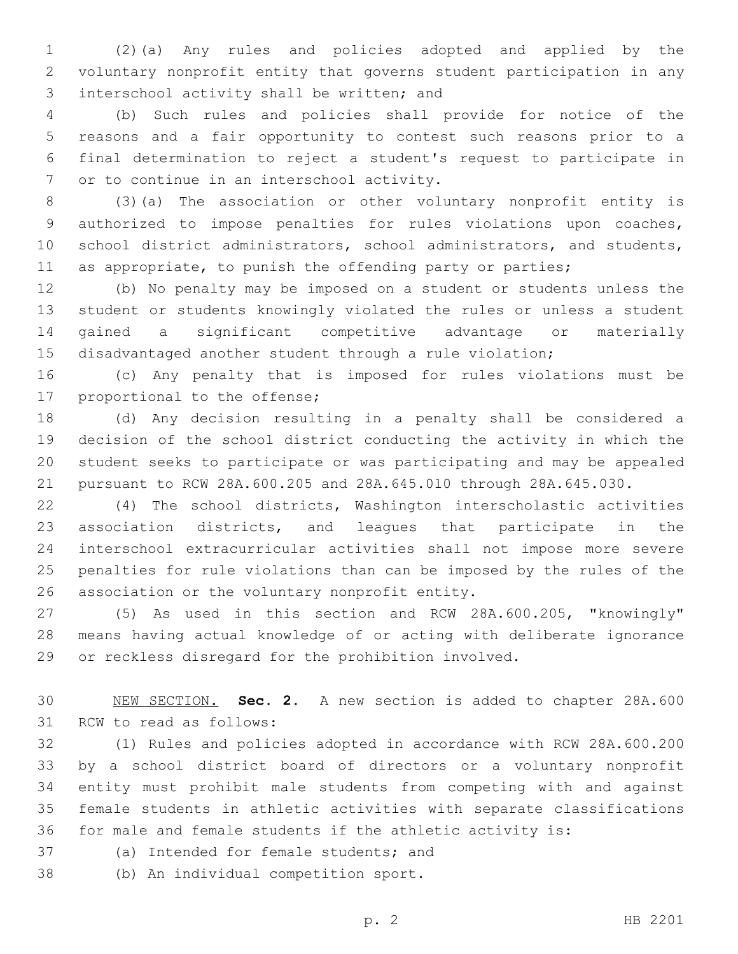(2)(a) Any rules and policies adopted and applied by the voluntary nonprofit entity that governs student participation in any 3 interschool activity shall be written; and

 (b) Such rules and policies shall provide for notice of the reasons and a fair opportunity to contest such reasons prior to a final determination to reject a student's request to participate in 7 or to continue in an interschool activity.

 (3)(a) The association or other voluntary nonprofit entity is authorized to impose penalties for rules violations upon coaches, school district administrators, school administrators, and students, 11 as appropriate, to punish the offending party or parties;

 (b) No penalty may be imposed on a student or students unless the student or students knowingly violated the rules or unless a student gained a significant competitive advantage or materially disadvantaged another student through a rule violation;

 (c) Any penalty that is imposed for rules violations must be 17 proportional to the offense;

 (d) Any decision resulting in a penalty shall be considered a decision of the school district conducting the activity in which the student seeks to participate or was participating and may be appealed pursuant to RCW 28A.600.205 and 28A.645.010 through 28A.645.030.

 (4) The school districts, Washington interscholastic activities association districts, and leagues that participate in the interschool extracurricular activities shall not impose more severe penalties for rule violations than can be imposed by the rules of the 26 association or the voluntary nonprofit entity.

 (5) As used in this section and RCW 28A.600.205, "knowingly" means having actual knowledge of or acting with deliberate ignorance or reckless disregard for the prohibition involved.

 NEW SECTION. **Sec. 2.** A new section is added to chapter 28A.600 31 RCW to read as follows:

 (1) Rules and policies adopted in accordance with RCW 28A.600.200 by a school district board of directors or a voluntary nonprofit entity must prohibit male students from competing with and against female students in athletic activities with separate classifications for male and female students if the athletic activity is:

37 (a) Intended for female students; and

38 (b) An individual competition sport.

p. 2 HB 2201